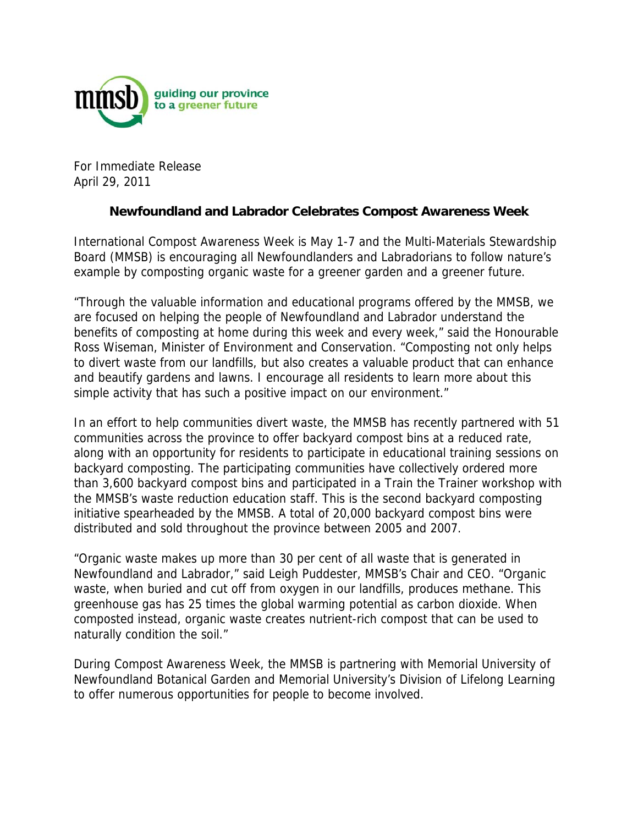

For Immediate Release April 29, 2011

## **Newfoundland and Labrador Celebrates Compost Awareness Week**

International Compost Awareness Week is May 1-7 and the Multi-Materials Stewardship Board (MMSB) is encouraging all Newfoundlanders and Labradorians to follow nature's example by composting organic waste for a greener garden and a greener future.

"Through the valuable information and educational programs offered by the MMSB, we are focused on helping the people of Newfoundland and Labrador understand the benefits of composting at home during this week and every week," said the Honourable Ross Wiseman, Minister of Environment and Conservation. "Composting not only helps to divert waste from our landfills, but also creates a valuable product that can enhance and beautify gardens and lawns. I encourage all residents to learn more about this simple activity that has such a positive impact on our environment."

In an effort to help communities divert waste, the MMSB has recently partnered with 51 communities across the province to offer backyard compost bins at a reduced rate, along with an opportunity for residents to participate in educational training sessions on backyard composting. The participating communities have collectively ordered more than 3,600 backyard compost bins and participated in a Train the Trainer workshop with the MMSB's waste reduction education staff. This is the second backyard composting initiative spearheaded by the MMSB. A total of 20,000 backyard compost bins were distributed and sold throughout the province between 2005 and 2007.

"Organic waste makes up more than 30 per cent of all waste that is generated in Newfoundland and Labrador," said Leigh Puddester, MMSB's Chair and CEO. "Organic waste, when buried and cut off from oxygen in our landfills, produces methane. This greenhouse gas has 25 times the global warming potential as carbon dioxide. When composted instead, organic waste creates nutrient-rich compost that can be used to naturally condition the soil."

During Compost Awareness Week, the MMSB is partnering with Memorial University of Newfoundland Botanical Garden and Memorial University's Division of Lifelong Learning to offer numerous opportunities for people to become involved.